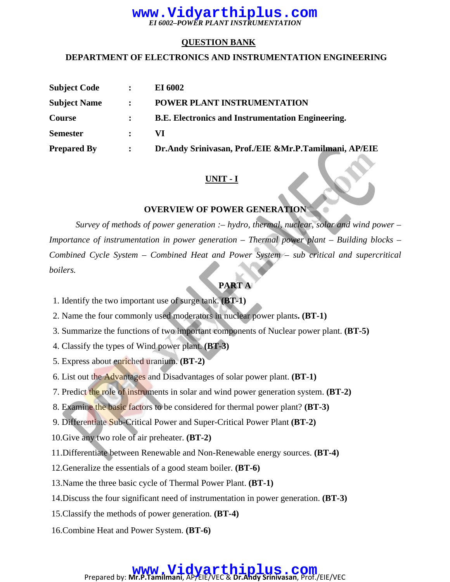### **QUESTION BANK**

#### **DEPARTMENT OF ELECTRONICS AND INSTRUMENTATION ENGINEERING**

| <b>Subject Code</b> | $\ddot{\cdot}$ | <b>EI 6002</b>                                           |
|---------------------|----------------|----------------------------------------------------------|
| <b>Subject Name</b> | $\mathbf{r}$   | POWER PLANT INSTRUMENTATION                              |
| Course              |                | <b>B.E. Electronics and Instrumentation Engineering.</b> |
| <b>Semester</b>     | $\mathbf{r}$   | VI.                                                      |
| <b>Prepared By</b>  | $\ddot{\cdot}$ | Dr.Andy Srinivasan, Prof./EIE &Mr.P.Tamilmani, AP/EIE    |

# **UNIT - I**

### **OVERVIEW OF POWER GENERATION**

*Survey of methods of power generation :– hydro, thermal, nuclear, solar and wind power – Importance of instrumentation in power generation – Thermal power plant – Building blocks – Combined Cycle System – Combined Heat and Power System – sub critical and supercritical boilers.*

# **PART A**

1. Identify the two important use of surge tank. **(BT-1)**

2. Name the four commonly used moderators in nuclear power plants**. (BT-1)**

- 3. Summarize the functions of two important components of Nuclear power plant. **(BT-5)**
- 4. Classify the types of Wind power plant. **(BT-3)**
- 5. Express about enriched uranium. **(BT-2)**
- 6. List out the Advantages and Disadvantages of solar power plant. **(BT-1)**
- 7. Predict the role of instruments in solar and wind power generation system. **(BT-2)**
- 8. Examine the basic factors to be considered for thermal power plant? **(BT-3)**
- 9. Differentiate Sub-Critical Power and Super-Critical Power Plant **(BT-2)**
- 10.Give any two role of air preheater. **(BT-2)**
- 11.Differentiate between Renewable and Non-Renewable energy sources. **(BT-4)**
- 12.Generalize the essentials of a good steam boiler. **(BT-6)**
- 13.Name the three basic cycle of Thermal Power Plant. **(BT-1)**
- 14.Discuss the four significant need of instrumentation in power generation. **(BT-3)**
- 15.Classify the methods of power generation. **(BT-4)**
- 16.Combine Heat and Power System. **(BT-6)**

# **WWW. Vidyarthiplus.com**<br>Prepared by: Mr.P.Tamilmani, AP/EIE/VEC & Dr.Andy Srinivasan, Prof./EIE/VEC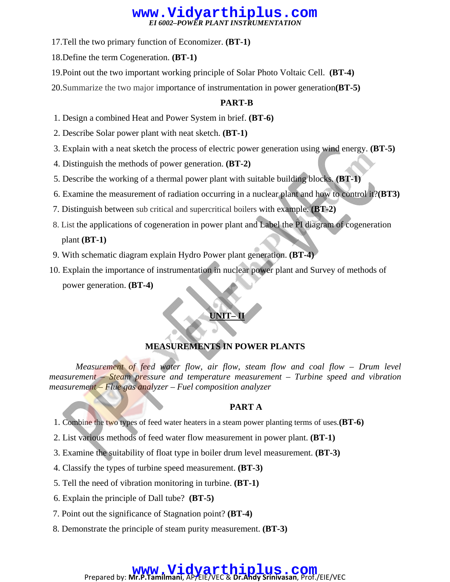17.Tell the two primary function of Economizer. **(BT-1)**

18.Define the term Cogeneration. **(BT-1)** 

- 19.Point out the two important working principle of Solar Photo Voltaic Cell. **(BT-4)**
- 20.Summarize the two major importance of instrumentation in power generation**(BT-5)**

## **PART-B**

- 1. Design a combined Heat and Power System in brief. **(BT-6)**
- 2. Describe Solar power plant with neat sketch. **(BT-1)**
- 3. Explain with a neat sketch the process of electric power generation using wind energy. **(BT-5)**
- 4. Distinguish the methods of power generation. **(BT-2)**
- 5. Describe the working of a thermal power plant with suitable building blocks. **(BT-1)**
- 6. Examine the measurement of radiation occurring in a nuclear plant and how to control it?**(BT3)**
- 7. Distinguish between sub critical and supercritical boilers with example. **(BT-2)**
- 8. List the applications of cogeneration in power plant and Label the PI diagram of cogeneration plant **(BT-1)**
- 9. With schematic diagram explain Hydro Power plant generation. **(BT-4)**
- 10. Explain the importance of instrumentation in nuclear power plant and Survey of methods of power generation. **(BT-4)**

# **UNIT–1**

# **MEASUREMENTS IN POWER PLANTS**

*Measurement of feed water flow, air flow, steam flow and coal flow – Drum level measurement – Steam pressure and temperature measurement – Turbine speed and vibration measurement – Flue gas analyzer – Fuel composition analyzer* 

# **PART A**

- 1. Combine the two types of feed water heaters in a steam power planting terms of uses.**(BT-6)**
- 2. List various methods of feed water flow measurement in power plant. **(BT-1)**
- 3. Examine the suitability of float type in boiler drum level measurement. **(BT-3)**
- 4. Classify the types of turbine speed measurement. **(BT-3)**
- 5. Tell the need of vibration monitoring in turbine. **(BT-1)**
- 6. Explain the principle of Dall tube? **(BT-5)**
- 7. Point out the significance of Stagnation point? **(BT-4)**
- 8. Demonstrate the principle of steam purity measurement. **(BT-3)**

# **WWW. Vidyarthiplus.com**<br>Prepared by: Mr.P.Tamilmani, AP/EIE/VEC & Dr.Andy Srinivasan, Prof./EIE/VEC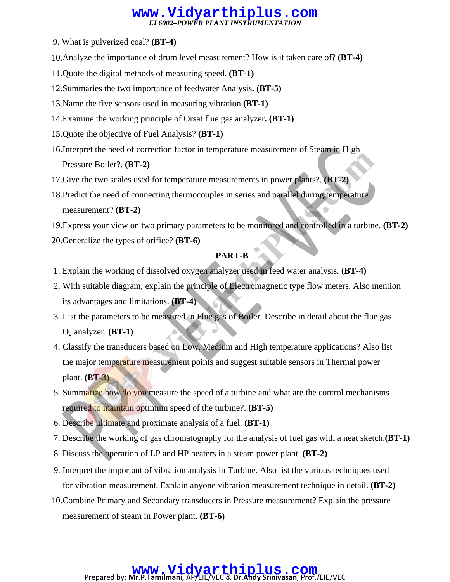- 9. What is pulverized coal? **(BT-4)**
- 10.Analyze the importance of drum level measurement? How is it taken care of? **(BT-4)**
- 11.Quote the digital methods of measuring speed. **(BT-1)**
- 12.Summaries the two importance of feedwater Analysis**. (BT-5)**
- 13.Name the five sensors used in measuring vibration **(BT-1)**
- 14.Examine the working principle of Orsat flue gas analyzer**. (BT-1)**
- 15.Quote the objective of Fuel Analysis? **(BT-1)**
- 16.Interpret the need of correction factor in temperature measurement of Steam in High Pressure Boiler?. **(BT-2)**
- 17.Give the two scales used for temperature measurements in power plants?. **(BT-2)**
- 18.Predict the need of connecting thermocouples in series and parallel during temperature measurement? **(BT-2)**

19.Express your view on two primary parameters to be monitored and controlled in a turbine. **(BT-2)**

20.Generalize the types of orifice? **(BT-6)**

#### **PART-B**

- 1. Explain the working of dissolved oxygen analyzer used in feed water analysis. **(BT-4)**
- 2. With suitable diagram, explain the principle of Electromagnetic type flow meters. Also mention its advantages and limitations. **(BT-4)**
- 3. List the parameters to be measured in Flue gas of Boiler. Describe in detail about the flue gas  $O_2$  analyzer. **(BT-1)**
- 4. Classify the transducers based on Low, Medium and High temperature applications? Also list the major temperature measurement points and suggest suitable sensors in Thermal power plant. **(BT-3)**
- 5. Summarize how do you measure the speed of a turbine and what are the control mechanisms required to maintain optimum speed of the turbine?. **(BT-5)**
- 6. Describe ultimate and proximate analysis of a fuel. **(BT-1)**
- 7. Describe the working of gas chromatography for the analysis of fuel gas with a neat sketch.**(BT-1)**
- 8. Discuss the operation of LP and HP heaters in a steam power plant. **(BT-2)**
- 9. Interpret the important of vibration analysis in Turbine. Also list the various techniques used for vibration measurement. Explain anyone vibration measurement technique in detail. **(BT-2)**
- 10.Combine Primary and Secondary transducers in Pressure measurement? Explain the pressure measurement of steam in Power plant. **(BT-6)**

# **WWW. Vidyarthiplus.com**<br>Prepared by: Mr.P.Tamilmani, AP/EIE/VEC & Dr.Andy Srinivasan, Prof./EIE/VEC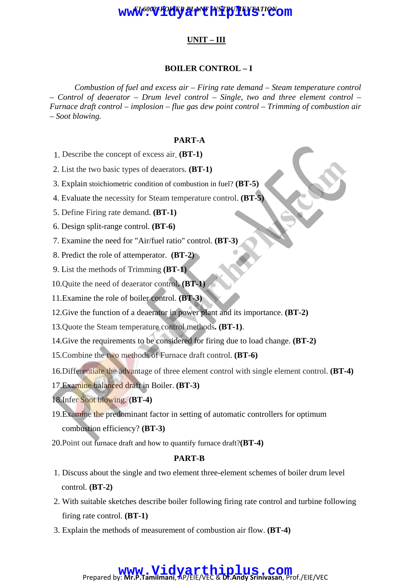# **UNIT – III**

#### **BOILER CONTROL – I**

*Combustion of fuel and excess air – Firing rate demand – Steam temperature control – Control of deaerator – Drum level control – Single, two and three element control – Furnace draft control – implosion – flue gas dew point control – Trimming of combustion air – Soot blowing.*

#### **PART-A**

- 1. Describe the concept of excess air. **(BT-1)**
- 2. List the two basic types of deaerators. **(BT-1)**
- 3. Explain stoichiometric condition of combustion in fuel? **(BT-5)**
- 4. Evaluate the necessity for Steam temperature control. **(BT-5)**
- 5. Define Firing rate demand. **(BT-1)**
- 6. Design split-range control. **(BT-6)**
- 7. Examine the need for "Air/fuel ratio" control. **(BT-3)**
- 8. Predict the role of attemperator. **(BT-2)**
- 9. List the methods of Trimming **(BT-1)**
- 10.Quite the need of deaerator control**. (BT-1)**
- 11.Examine the role of boiler control. **(BT-3)**
- 12.Give the function of a deaerator in power plant and its importance. **(BT-2)**
- 13.Quote the Steam temperature control methods**. (BT-1)**.
- 14.Give the requirements to be considered for firing due to load change. **(BT-2)**
- 15.Combine the two methods of Furnace draft control. **(BT-6)**
- 16.Differentiate the advantage of three element control with single element control. **(BT-4)**
- 17.Examine balanced draft in Boiler. **(BT-3)**
- 18.Infer Soot blowing. **(BT-4)**
- 19.Examine the predominant factor in setting of automatic controllers for optimum combustion efficiency? **(BT-3)**
- 20.Point out furnace draft and how to quantify furnace draft?**(BT-4)**

#### **PART-B**

- 1. Discuss about the single and two element three-element schemes of boiler drum level control. **(BT-2)**
- 2. With suitable sketches describe boiler following firing rate control and turbine following firing rate control. **(BT-1)**
- 3. Explain the methods of measurement of combustion air flow. **(BT-4)**

# Prepared by: **Mr.P.Tamilmani**, AP/EIE/VEC & **Dr.Andy Srinivasan**, Prof./EIE/VEC **www.Vidyarthiplus.com**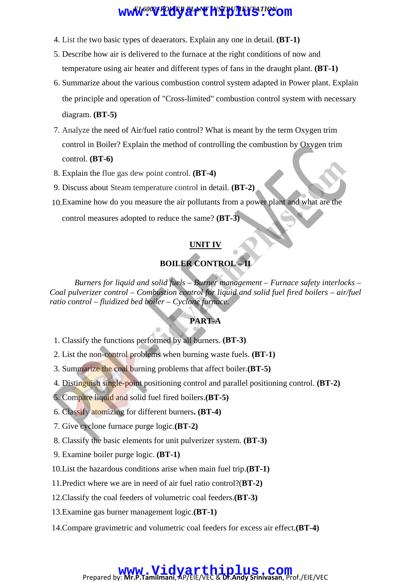- 4. List the two basic types of deaerators. Explain any one in detail. **(BT-1)**
- 5. Describe how air is delivered to the furnace at the right conditions of now and temperature using air heater and different types of fans in the draught plant. **(BT-1)**
- 6. Summarize about the various combustion control system adapted in Power plant. Explain the principle and operation of "Cross-limited" combustion control system with necessary diagram. **(BT-5)**
- 7. Analyze the need of Air/fuel ratio control? What is meant by the term Oxygen trim control in Boiler? Explain the method of controlling the combustion by Oxygen trim control. **(BT-6)**
- 8. Explain the flue gas dew point control. **(BT-4)**
- 9. Discuss about Steam temperature control in detail. **(BT-2)**
- 10.Examine how do you measure the air pollutants from a power plant and what are the

control measures adopted to reduce the same? **(BT-3)**

## **UNIT IV**

# **BOILER CONTROL – II**

*Burners for liquid and solid fuels – Burner management – Furnace safety interlocks – Coal pulverizer control – Combustion control for liquid and solid fuel fired boilers – air/fuel ratio control – fluidized bed boiler – Cyclone furnace.* 

### **PART-A**

- 1. Classify the functions performed by all burners. **(BT-3)**
- 2. List the non-control problems when burning waste fuels. **(BT-1)**
- 3. Summarize the coal burning problems that affect boiler.**(BT-5)**
- 4. Distinguish single-point positioning control and parallel positioning control. **(BT-2)**
- 5. Compare liquid and solid fuel fired boilers.**(BT-5)**
- 6. Classify atomizing for different burners**. (BT-4)**
- 7. Give cyclone furnace purge logic.**(BT-2)**
- 8. Classify the basic elements for unit pulverizer system. **(BT-3)**
- 9. Examine boiler purge logic. **(BT-1)**
- 10.List the hazardous conditions arise when main fuel trip.**(BT-1)**
- 11.Predict where we are in need of air fuel ratio control?(**BT-2)**
- 12.Classify the coal feeders of volumetric coal feeders.**(BT-3)**
- 13.Examine gas burner management logic.**(BT-1)**
- 14.Compare gravimetric and volumetric coal feeders for excess air effect.**(BT-4)**

# Prepared by: **Mr.P.Tamilmani**, AP/EIE/VEC & **Dr.Andy Srinivasan**, Prof./EIE/VEC **www.Vidyarthiplus.com**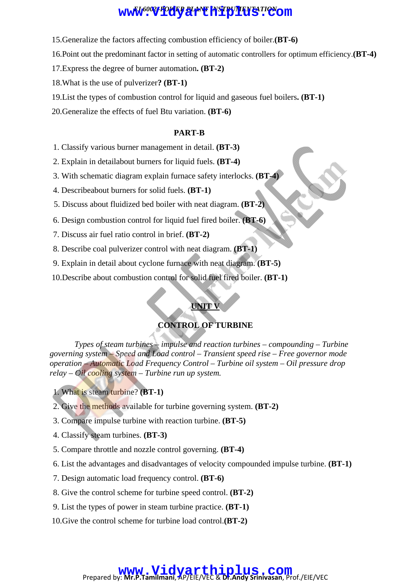- 15.Generalize the factors affecting combustion efficiency of boiler.**(BT-6)**
- 16.Point out the predominant factor in setting of automatic controllers for optimum efficiency.**(BT-4)**
- 17.Express the degree of burner automation**. (BT-2)**
- 18.What is the use of pulverizer**? (BT-1)**
- 19.List the types of combustion control for liquid and gaseous fuel boilers**. (BT-1)**

20.Generalize the effects of fuel Btu variation. **(BT-6)**

#### **PART-B**

- 1. Classify various burner management in detail. **(BT-3)**
- 2. Explain in detailabout burners for liquid fuels. **(BT-4)**
- 3. With schematic diagram explain furnace safety interlocks. **(BT-4)**
- 4. Describeabout burners for solid fuels. **(BT-1)**
- 5. Discuss about fluidized bed boiler with neat diagram. **(BT-2)**
- 6. Design combustion control for liquid fuel fired boiler. **(BT-6)**
- 7. Discuss air fuel ratio control in brief. **(BT-2)**
- 8. Describe coal pulverizer control with neat diagram. **(BT-1)**
- 9. Explain in detail about cyclone furnace with neat diagram. **(BT-5)**
- 10.Describe about combustion control for solid fuel fired boiler. **(BT-1)**

### **UNIT V**

# **CONTROL OF TURBINE**

*Types of steam turbines – impulse and reaction turbines – compounding – Turbine governing system – Speed and Load control – Transient speed rise – Free governor mode operation – Automatic Load Frequency Control – Turbine oil system – Oil pressure drop relay – Oil cooling system – Turbine run up system.* 

1. What is steam turbine? **(BT-1)**

- 2. Give the methods available for turbine governing system. **(BT-2)**
- 3. Compare impulse turbine with reaction turbine. **(BT-5)**
- 4. Classify steam turbines. **(BT-3)**
- 5. Compare throttle and nozzle control governing. **(BT-4)**
- 6. List the advantages and disadvantages of velocity compounded impulse turbine. **(BT-1)**
- 7. Design automatic load frequency control. **(BT-6)**
- 8. Give the control scheme for turbine speed control. **(BT-2)**
- 9. List the types of power in steam turbine practice. **(BT-1)**
- 10.Give the control scheme for turbine load control.**(BT-2)**

# **WWW.Vidyarthiplus.com**<br>Prepared by: Mr.P.Tamilmani, AP/EIE/VEC & Dr.Andy Srinivasan, Prof./EIE/VEC